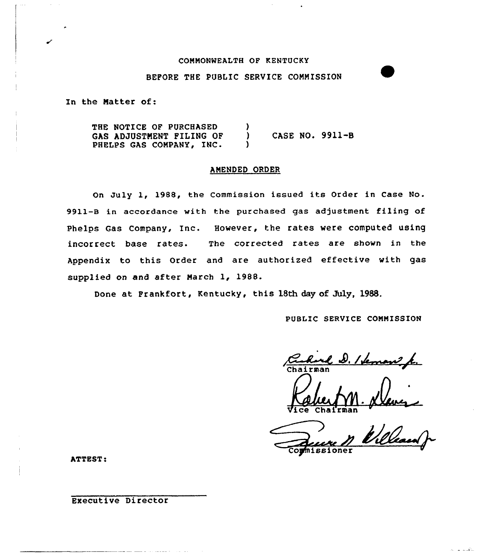#### COMMONWEALTH OF KENTUCKY

#### BEFORE THE PUBLIC SERVICE COMMISSION

In the Natter of:

THE NOTICE OF PURCHASED GAS ADJUSTMENT FILING OF PHELPS GAS COMPANY, INC. ) ) CASE NO. 9911-B  $\lambda$ 

### AMENDED ORDER

On July 1, 1988, the Commission issued its Order in Case No. 9911-8 in accordance with the purchased gas adjustment filing of Phelps Gas Company, Inc. However, the rates were computed using incorrect base rates. The corrected rates are shown in the Appendix to this Order and are authorized effective with gas supplied on and after March 1, 1988.

Done at Frankfort, Kentucky, this 18th day of July, 1988.

PUBLIC SERVICE CONNISSION

el D. / Seman k.

Vice Chairma

and the formation of the formation of the top of the top of the top of the top the the top of the top the the nissioner

متكسب المرا

ATTEST:

Executive Director